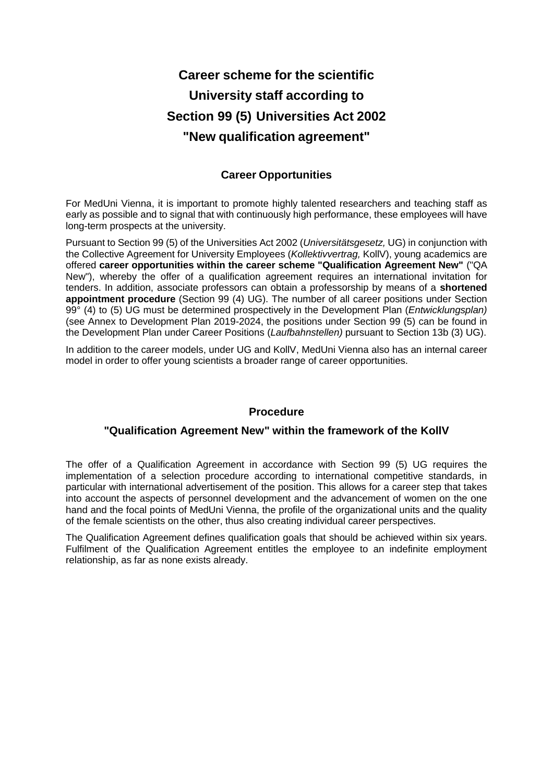# **Career scheme for the scientific University staff according to Section 99 (5) Universities Act 2002 "New qualification agreement"**

## **Career Opportunities**

For MedUni Vienna, it is important to promote highly talented researchers and teaching staff as early as possible and to signal that with continuously high performance, these employees will have long-term prospects at the university.

Pursuant to Section 99 (5) of the Universities Act 2002 (*Universitätsgesetz,* UG) in conjunction with the Collective Agreement for University Employees (*Kollektivvertrag,* KollV), young academics are offered **career opportunities within the career scheme "Qualification Agreement New"** ("QA New"), whereby the offer of a qualification agreement requires an international invitation for tenders. In addition, associate professors can obtain a professorship by means of a **shortened appointment procedure** (Section 99 (4) UG). The number of all career positions under Section 99° (4) to (5) UG must be determined prospectively in the Development Plan (*Entwicklungsplan)* (see Annex to Development Plan 2019-2024, the positions under Section 99 (5) can be found in the Development Plan under Career Positions (*Laufbahnstellen)* pursuant to Section 13b (3) UG).

In addition to the career models, under UG and KollV, MedUni Vienna also has an internal career model in order to offer young scientists a broader range of career opportunities.

## **Procedure**

## **"Qualification Agreement New" within the framework of the KollV**

The offer of a Qualification Agreement in accordance with Section 99 (5) UG requires the implementation of a selection procedure according to international competitive standards, in particular with international advertisement of the position. This allows for a career step that takes into account the aspects of personnel development and the advancement of women on the one hand and the focal points of MedUni Vienna, the profile of the organizational units and the quality of the female scientists on the other, thus also creating individual career perspectives.

The Qualification Agreement defines qualification goals that should be achieved within six years. Fulfilment of the Qualification Agreement entitles the employee to an indefinite employment relationship, as far as none exists already.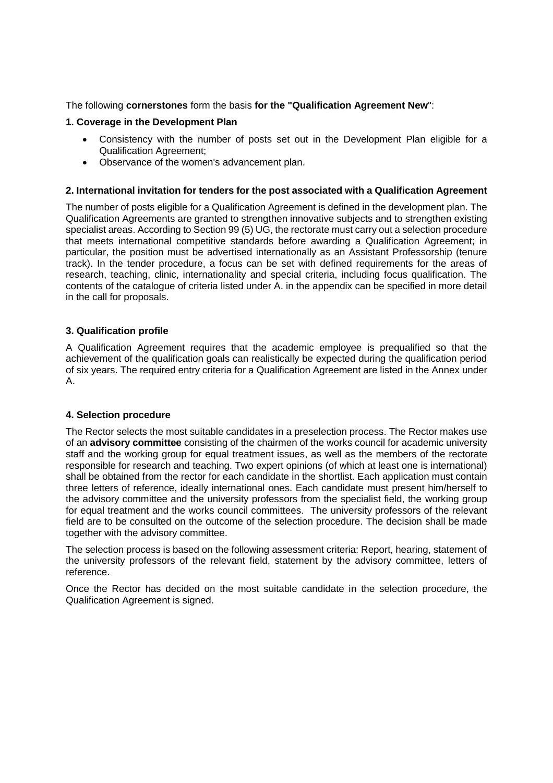The following **cornerstones** form the basis **for the "Qualification Agreement New**":

#### **1. Coverage in the Development Plan**

- Consistency with the number of posts set out in the Development Plan eligible for a Qualification Agreement;
- Observance of the women's advancement plan.

#### **2. International invitation for tenders for the post associated with a Qualification Agreement**

The number of posts eligible for a Qualification Agreement is defined in the development plan. The Qualification Agreements are granted to strengthen innovative subjects and to strengthen existing specialist areas. According to Section 99 (5) UG, the rectorate must carry out a selection procedure that meets international competitive standards before awarding a Qualification Agreement; in particular, the position must be advertised internationally as an Assistant Professorship (tenure track). In the tender procedure, a focus can be set with defined requirements for the areas of research, teaching, clinic, internationality and special criteria, including focus qualification. The contents of the catalogue of criteria listed under A. in the appendix can be specified in more detail in the call for proposals.

## **3. Qualification profile**

A Qualification Agreement requires that the academic employee is prequalified so that the achievement of the qualification goals can realistically be expected during the qualification period of six years. The required entry criteria for a Qualification Agreement are listed in the Annex under A.

#### **4. Selection procedure**

The Rector selects the most suitable candidates in a preselection process. The Rector makes use of an **advisory committee** consisting of the chairmen of the works council for academic university staff and the working group for equal treatment issues, as well as the members of the rectorate responsible for research and teaching. Two expert opinions (of which at least one is international) shall be obtained from the rector for each candidate in the shortlist. Each application must contain three letters of reference, ideally international ones. Each candidate must present him/herself to the advisory committee and the university professors from the specialist field, the working group for equal treatment and the works council committees. The university professors of the relevant field are to be consulted on the outcome of the selection procedure. The decision shall be made together with the advisory committee.

The selection process is based on the following assessment criteria: Report, hearing, statement of the university professors of the relevant field, statement by the advisory committee, letters of reference.

Once the Rector has decided on the most suitable candidate in the selection procedure, the Qualification Agreement is signed.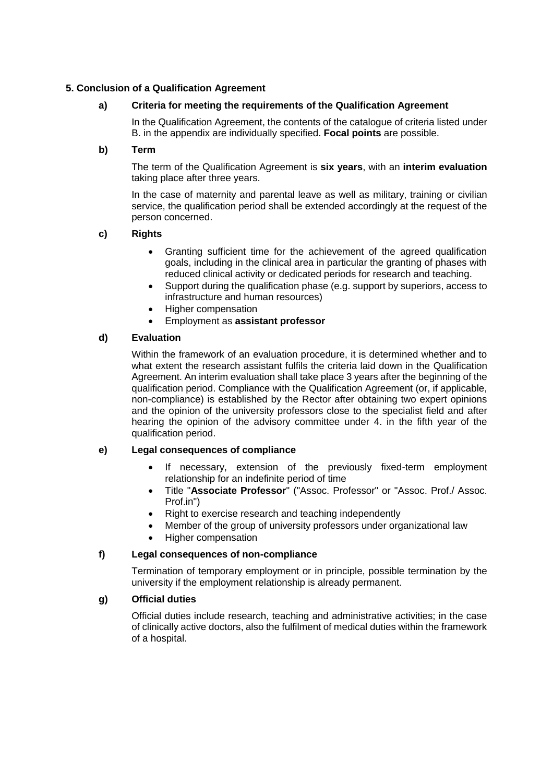## **5. Conclusion of a Qualification Agreement**

## **a) Criteria for meeting the requirements of the Qualification Agreement**

In the Qualification Agreement, the contents of the catalogue of criteria listed under B. in the appendix are individually specified. **Focal points** are possible.

#### **b) Term**

The term of the Qualification Agreement is **six years**, with an **interim evaluation** taking place after three years.

In the case of maternity and parental leave as well as military, training or civilian service, the qualification period shall be extended accordingly at the request of the person concerned.

#### **c) Rights**

- Granting sufficient time for the achievement of the agreed qualification goals, including in the clinical area in particular the granting of phases with reduced clinical activity or dedicated periods for research and teaching.
- Support during the qualification phase (e.g. support by superiors, access to infrastructure and human resources)
- Higher compensation
- Employment as **assistant professor**

#### **d) Evaluation**

Within the framework of an evaluation procedure, it is determined whether and to what extent the research assistant fulfils the criteria laid down in the Qualification Agreement. An interim evaluation shall take place 3 years after the beginning of the qualification period. Compliance with the Qualification Agreement (or, if applicable, non-compliance) is established by the Rector after obtaining two expert opinions and the opinion of the university professors close to the specialist field and after hearing the opinion of the advisory committee under 4. in the fifth year of the qualification period.

#### **e) Legal consequences of compliance**

- If necessary, extension of the previously fixed-term employment relationship for an indefinite period of time
- Title "**Associate Professor**" ("Assoc. Professor" or "Assoc. Prof./ Assoc. Prof.in")
- Right to exercise research and teaching independently
- Member of the group of university professors under organizational law
- Higher compensation

#### **f) Legal consequences of non-compliance**

Termination of temporary employment or in principle, possible termination by the university if the employment relationship is already permanent.

#### **g) Official duties**

Official duties include research, teaching and administrative activities; in the case of clinically active doctors, also the fulfilment of medical duties within the framework of a hospital.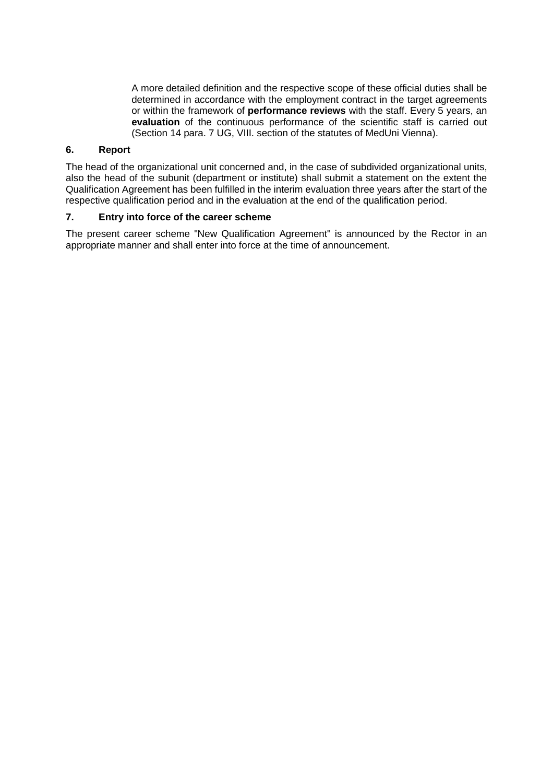A more detailed definition and the respective scope of these official duties shall be determined in accordance with the employment contract in the target agreements or within the framework of **performance reviews** with the staff. Every 5 years, an **evaluation** of the continuous performance of the scientific staff is carried out (Section 14 para. 7 UG, VIII. section of the statutes of MedUni Vienna).

#### **6. Report**

The head of the organizational unit concerned and, in the case of subdivided organizational units, also the head of the subunit (department or institute) shall submit a statement on the extent the Qualification Agreement has been fulfilled in the interim evaluation three years after the start of the respective qualification period and in the evaluation at the end of the qualification period.

## **7. Entry into force of the career scheme**

The present career scheme "New Qualification Agreement" is announced by the Rector in an appropriate manner and shall enter into force at the time of announcement.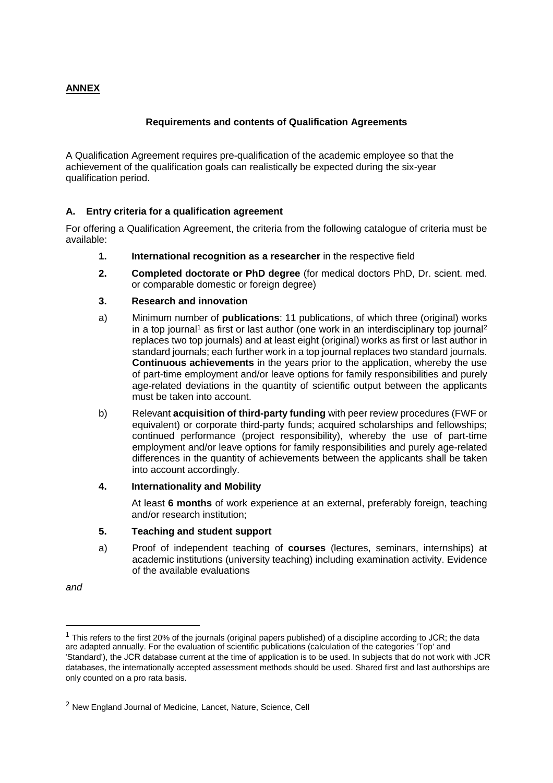## **ANNEX**

## **Requirements and contents of Qualification Agreements**

A Qualification Agreement requires pre-qualification of the academic employee so that the achievement of the qualification goals can realistically be expected during the six-year qualification period.

## **A. Entry criteria for a qualification agreement**

For offering a Qualification Agreement, the criteria from the following catalogue of criteria must be available:

- **1. International recognition as a researcher** in the respective field
- **2. Completed doctorate or PhD degree** (for medical doctors PhD, Dr. scient. med. or comparable domestic or foreign degree)

#### **3. Research and innovation**

- a) Minimum number of **publications**: 11 publications, of which three (original) works in a top journal<sup>1</sup> as first or last author (one work in an interdisciplinary top journal<sup>2</sup> replaces two top journals) and at least eight (original) works as first or last author in standard journals; each further work in a top journal replaces two standard journals. **Continuous achievements** in the years prior to the application, whereby the use of part-time employment and/or leave options for family responsibilities and purely age-related deviations in the quantity of scientific output between the applicants must be taken into account.
- b) Relevant **acquisition of third-party funding** with peer review procedures (FWF or equivalent) or corporate third-party funds; acquired scholarships and fellowships; continued performance (project responsibility), whereby the use of part-time employment and/or leave options for family responsibilities and purely age-related differences in the quantity of achievements between the applicants shall be taken into account accordingly.

#### **4. Internationality and Mobility**

At least **6 months** of work experience at an external, preferably foreign, teaching and/or research institution;

#### **5. Teaching and student support**

a) Proof of independent teaching of **courses** (lectures, seminars, internships) at academic institutions (university teaching) including examination activity. Evidence of the available evaluations

*and*

 $1$  This refers to the first 20% of the journals (original papers published) of a discipline according to JCR; the data are adapted annually. For the evaluation of scientific publications (calculation of the categories 'Top' and 'Standard'), the JCR database current at the time of application is to be used. In subjects that do not work with JCR databases, the internationally accepted assessment methods should be used. Shared first and last authorships are only counted on a pro rata basis.

<sup>&</sup>lt;sup>2</sup> New England Journal of Medicine, Lancet, Nature, Science, Cell